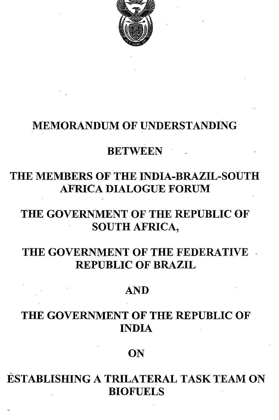

# MEMORANDUM OF UNDERSTANDING

## **BETWEEN**

# THE MEMBERS OF THE INDIA-BRAZIL-SOUTH AFRICA DIALOGUE FORUM

# THE GOVERNMENT OF THE REPUBLIC OF SOUTH AFRICA,

# THE GOVERNMENT OF THE FEDERATIVE. REPUBLIC OF BRAZIL

## AND

# THE GOVERNMENT OF THE REPUBLIC OF INDIA

### **ON**

# ÈSTABLISHING A TRILATERAL TASK TEAM ON **BIOFUELS**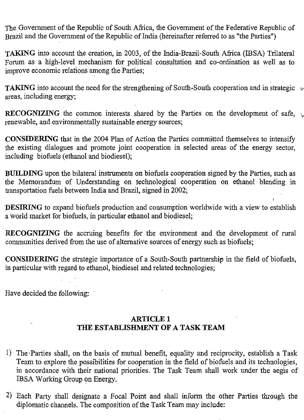The Government of the Republic of South Africa, the Government of the Federative Republic of Brazil and the Government of the Republic of India (hereinafter referred to as "the Parties")

**TAKING** into account the creatiqn, in 2003, of the India-Brazil-South Africa (IBSA) Trilateral Forum as a high-level mechanism for political consultation and co-ordination as well as to improve economic relations among the Parties;

**TAKING** into account the need for the strengthening of South-South cooperation and in strategic *v* areas, including energy;

**RECOGNIZING** the common interests shared by the Parties on the development of safe,  $\sqrt{ }$ renewable, and environmentally sustainable energy sources;

**CONSIDERING** that in the 2004 Plan of Action the Parties committed themselves to intensify the existing dialogues and promote joint cooperation in selected areas of the energy sector, including biofuels(ethanol and biodiesel);

**BUILDING** upon the bilateral instruments on biofuels cooperation signed by the Parties, such as the Memorandum of Understanding on technological cooperation on ethanol blending in transportation fuels between India and Brazil, signed in 2002;

DESIRING to expand biofuels production and consumption worldwide with a view to establish a world market for biofuels, in particular ethanol and biodiesel;

**RECOGNIZING** the accruing benefits for the environment and the development of rural communities derived from the use of alternative sources of energy such as biofuels;

**CONSIDERING** the strategic importance of a South-South partnership in the field of biofuels, in particular with regard to ethanol, biodiesel and related technologies;

Have decided the following:

### **ARTICLE 1 THE ESTABLISHMENT OF A TASK TEAM**

- 1) The'Parties shall, on the basis of mutual benefit, equality and reciprocity, establish a Task Team to explore the possibilities for cooperation in the field of biofuels and its technologies, in accordance with their national priorities. The Task Team shall work under the aegis of IBSA Working Group on Energy.
- 2) Each Party shall designate a Focal Point and shall inform the other Parties through the diplomatic channels. The composition of the Task Team may include: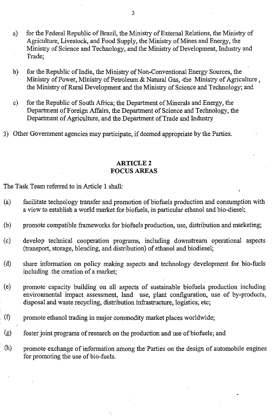- a) for the Federal Republic of Brazil, the Ministry of External Relations, the Ministry of Agriculture, Livestock, and Food Supply, the Ministry of Mines and Energy, the Ministry of Science and Technology, and the Ministry of Development, Industry and Trade;
- b) for the Republic of India, the Ministry of Non-Conventional Energy Sources, the Ministry of Power, Ministry of Petroleum & Natural Gas, -the Ministry of Agriculture, the Ministry of Rural Development and the Ministry of Science and Technology; and
- c) for the Republic of South Africa; the Department of Minerals and Energy, the Department of Foreign Affairs, the Department of Science and Technology, the Department of Agriculture, and the Department of Trade and Industry
- 3) Other Government agencies may participate, if deemed appropriate by the Parties.

### ARTICLE 2 FOCUS AREAS

The Task Team referred to in Article 1 shall:

- (a) facilitate technology transfer and promotion of biofuels production and consumption with a view to establish a world market for biofuels, in particular ethanol and bio-diesel;
- (b) promote compatible frameworks for biofuels production, use, distribution and marketing;
- (c) develop technical cooperation programs, including downstream operational aspects (transport, storage, blending, and distribution) of ethanol and biodiesel;
- (d) share information on policy making aspects and technology development for bio-fuels including the creation of a market;
- (e) promote capacity building on all aspects of sustainable biofuels production including environmental impact assessment, land use, plant configuration, use of by-products, disposal and waste recycling, distribution infrastructure, logistics, etc;
- . (1) promote ethanol trading in major commodity market places worldwide;
- (g) foster joint programs of research on the production and use of biofuels; and
- $(h)$  promote exchange of information among the Parties on the design of automobile engines for promoting the use of bio-fuels.